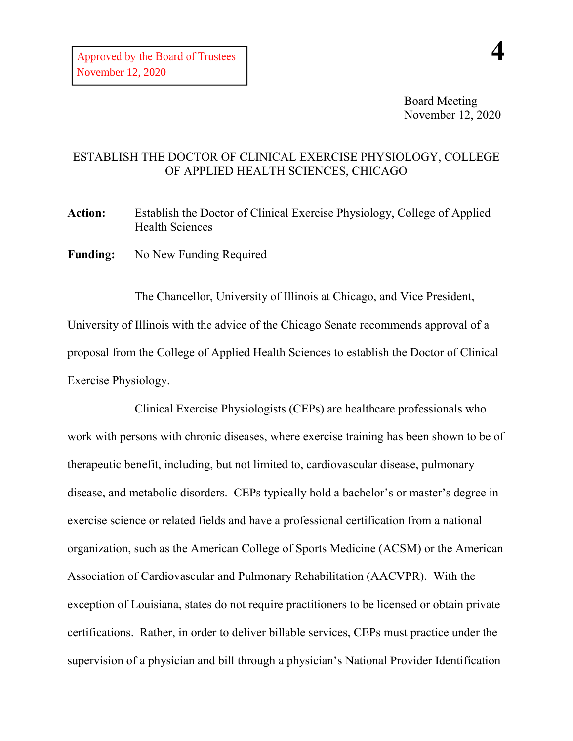Board Meeting November 12, 2020

## ESTABLISH THE DOCTOR OF CLINICAL EXERCISE PHYSIOLOGY, COLLEGE OF APPLIED HEALTH SCIENCES, CHICAGO

**Action:** Establish the Doctor of Clinical Exercise Physiology, College of Applied Health Sciences

**Funding:** No New Funding Required

The Chancellor, University of Illinois at Chicago, and Vice President, University of Illinois with the advice of the Chicago Senate recommends approval of a proposal from the College of Applied Health Sciences to establish the Doctor of Clinical Exercise Physiology.

Clinical Exercise Physiologists (CEPs) are healthcare professionals who work with persons with chronic diseases, where exercise training has been shown to be of therapeutic benefit, including, but not limited to, cardiovascular disease, pulmonary disease, and metabolic disorders. CEPs typically hold a bachelor's or master's degree in exercise science or related fields and have a professional certification from a national organization, such as the American College of Sports Medicine (ACSM) or the American Association of Cardiovascular and Pulmonary Rehabilitation (AACVPR). With the exception of Louisiana, states do not require practitioners to be licensed or obtain private certifications. Rather, in order to deliver billable services, CEPs must practice under the supervision of a physician and bill through a physician's National Provider Identification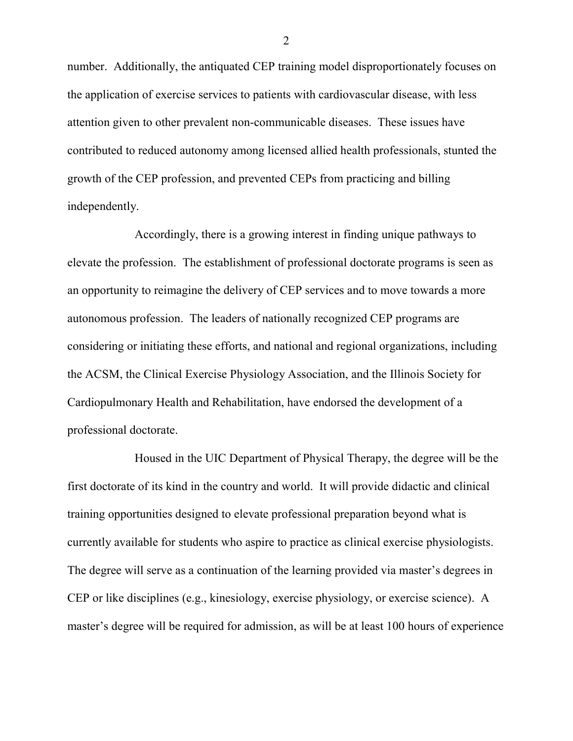number. Additionally, the antiquated CEP training model disproportionately focuses on the application of exercise services to patients with cardiovascular disease, with less attention given to other prevalent non-communicable diseases. These issues have contributed to reduced autonomy among licensed allied health professionals, stunted the growth of the CEP profession, and prevented CEPs from practicing and billing independently.

Accordingly, there is a growing interest in finding unique pathways to elevate the profession. The establishment of professional doctorate programs is seen as an opportunity to reimagine the delivery of CEP services and to move towards a more autonomous profession. The leaders of nationally recognized CEP programs are considering or initiating these efforts, and national and regional organizations, including the ACSM, the Clinical Exercise Physiology Association, and the Illinois Society for Cardiopulmonary Health and Rehabilitation, have endorsed the development of a professional doctorate.

Housed in the UIC Department of Physical Therapy, the degree will be the first doctorate of its kind in the country and world. It will provide didactic and clinical training opportunities designed to elevate professional preparation beyond what is currently available for students who aspire to practice as clinical exercise physiologists. The degree will serve as a continuation of the learning provided via master's degrees in CEP or like disciplines (e.g., kinesiology, exercise physiology, or exercise science). A master's degree will be required for admission, as will be at least 100 hours of experience

2